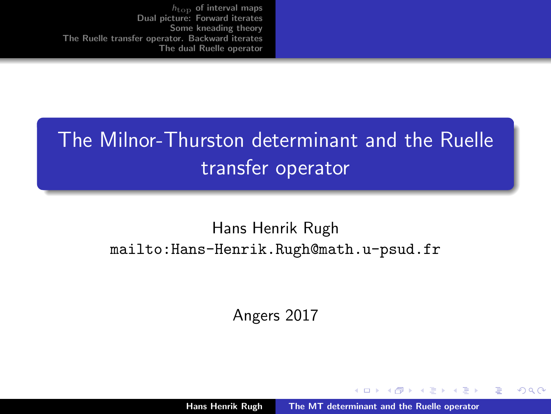# <span id="page-0-0"></span>The Milnor-Thurston determinant and the Ruelle transfer operator

#### Hans Henrik Rugh mailto:Hans-Henrik.Rugh@math.u-psud.fr

Angers 2017

 $4.17 \pm 1.0$ 

AD - 4 E - 1

つへへ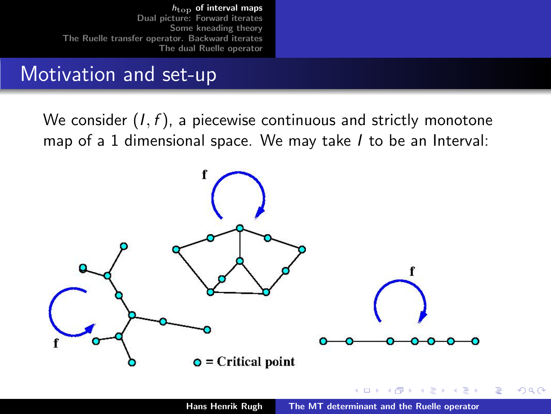### <span id="page-1-0"></span>Motivation and set-up

We consider  $(I, f)$ , a piecewise continuous and strictly monotone map of a 1 dimensional space. We may take *I* to be an Interval:



 $4.17 \pm 1.0$ 

 $\Omega$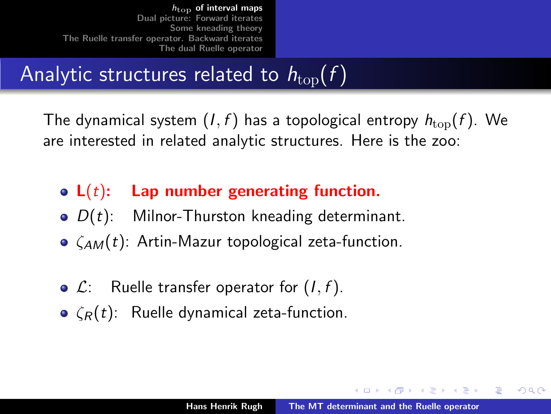# Analytic structures related to  $h_{\text{top}}(f)$

The dynamical system  $(I, f)$  has a topological entropy  $h_{\text{top}}(f)$ . We are interested in related analytic structures. Here is the zoo:

- $L(t)$ : Lap number generating function.
- $\bullet$   $D(t)$ : Milnor-Thurston kneading determinant.
- $\bullet$   $\zeta_{AM}(t)$ : Artin-Mazur topological zeta-function.
- $\bullet$   $\mathcal{L}$ : Ruelle transfer operator for  $(I, f)$ .
- $\epsilon(\mathbf{r}(t))$ : Ruelle dynamical zeta-function.

メロメ メタメ メモメ メモメ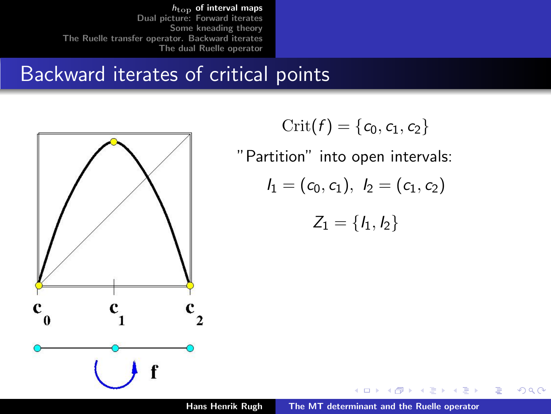## Backward iterates of critical points



$$
\mathrm{Crit}(f)=\{c_0,c_1,c_2\}
$$

"Partition" into open intervals:

$$
I_1=(c_0,c_1),\ I_2=(c_1,c_2)
$$

$$
\mathcal{Z}_1=\{\mathit{l}_1,\mathit{l}_2\}
$$

 $4.17 \times$ 

伊 ▶ マミ ▶

一人 ヨート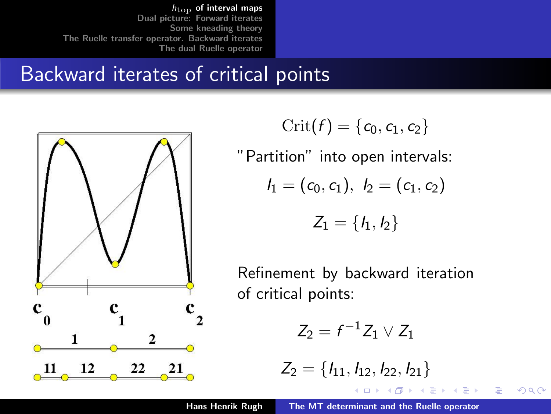## Backward iterates of critical points



$$
\mathrm{Crit}(f)=\{c_0,c_1,c_2\}
$$

"Partition" into open intervals:

$$
I_1=(c_0,c_1),\ I_2=(c_1,c_2)
$$

$$
Z_1=\{I_1,I_2\}
$$

Refinement by backward iteration of critical points:

$$
Z_2 = f^{-1}Z_1 \vee Z_1
$$

$$
Z_2 = \{l_{11}, l_{12}, l_{22}, l_{21}\}
$$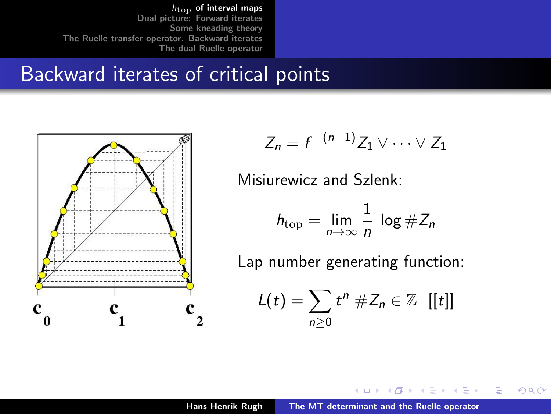### Backward iterates of critical points



$$
Z_n = f^{-(n-1)}Z_1 \vee \cdots \vee Z_1
$$

Misiurewicz and Szlenk:

$$
h_{\text{top}} = \lim_{n \to \infty} \frac{1}{n} \log \# Z_n
$$

Lap number generating function:

$$
L(t)=\sum_{n\geq 0}t^n\,\#Z_n\in\mathbb{Z}_+[[t]]
$$

イロメ マ桐 メラミンマチャ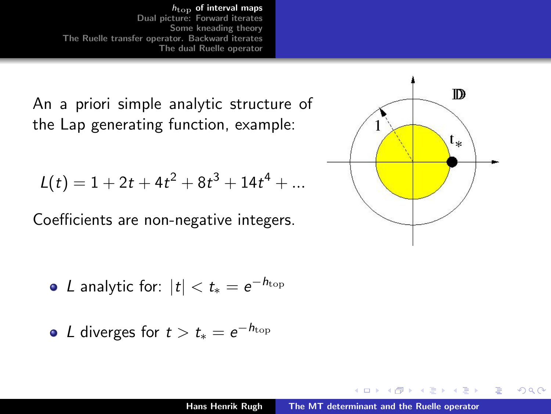An a priori simple analytic structure of the Lap generating function, example:

$$
L(t) = 1 + 2t + 4t^2 + 8t^3 + 14t^4 + \dots
$$

Coefficients are non-negative integers.

• L analytic for: 
$$
|t| < t_* = e^{-h_{\text{top}}}
$$

• L diverges for 
$$
t > t_* = e^{-h_{\text{top}}}
$$



 $2Q$ 

后

 $\leftarrow$   $\Box$ 

- 3 桐 ト 3 手 ト

 $\rightarrow$   $\equiv$   $\rightarrow$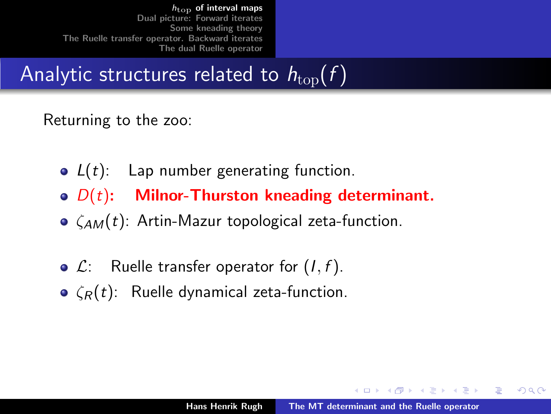# Analytic structures related to  $h_{\text{top}}(f)$

#### Returning to the zoo:

- $L(t)$ : Lap number generating function.
- $\bullet$   $D(t)$ : Milnor-Thurston kneading determinant.
- $\bullet$   $\zeta_{AM}(t)$ : Artin-Mazur topological zeta-function.
- $\bullet$   $\mathcal{L}$ : Ruelle transfer operator for  $(I, f)$ .
- $\epsilon(\mathbf{r}(t))$ : Ruelle dynamical zeta-function.

イロメ マ桐 メラミンマチャ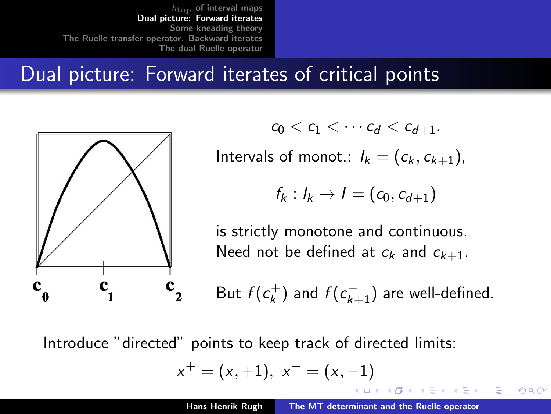### <span id="page-8-0"></span>Dual picture: Forward iterates of critical points



 $c_0 < c_1 < \cdots c_d < c_{d+1}$ .

Intervals of monot.:  $I_k = (c_k, c_{k+1})$ ,

$$
f_k: I_k \to I = (c_0, c_{d+1})
$$

is strictly monotone and continuous. Need not be defined at  $c_k$  and  $c_{k+1}$ .

But  $f(c_k^+)$  $\lambda_{k}^{+})$  and  $f(c_{k+1}^{-})$  are well-defined.

メロメ メタメ メモメ メモメ

へのへ

Introduce "directed" points to keep track of directed limits:

$$
x^+=(x,+1),\ x^-=\left(x,-1\right)
$$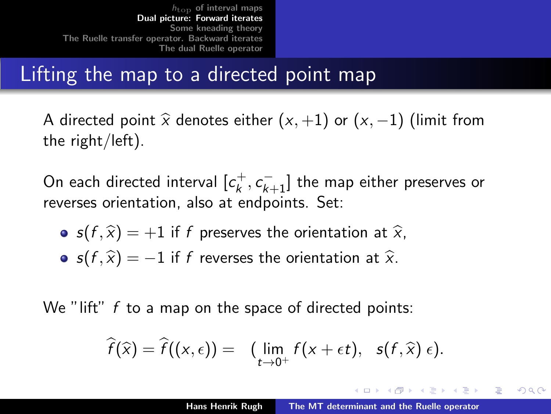## Lifting the map to a directed point map

A directed point  $\hat{x}$  denotes either  $(x, +1)$  or  $(x, -1)$  (limit from the right/left).

On each directed interval  $[c_k^+]$  $\left[ c_{k}^{+},c_{k+1}^{-}\right]$  the map either preserves or reverses orientation, also at endpoints. Set:

- $s(f, \hat{x}) = +1$  if f preserves the orientation at  $\hat{x}$ ,
- $s(f, \hat{x}) = -1$  if f reverses the orientation at  $\hat{x}$ .

We "lift"  $f$  to a map on the space of directed points:

$$
\widehat{f}(\widehat{x}) = \widehat{f}((x,\epsilon)) = (\lim_{t\to 0^+} f(x+\epsilon t), \ \ s(f,\widehat{x})\,\epsilon).
$$

メロメ メタメ メモメ メモメ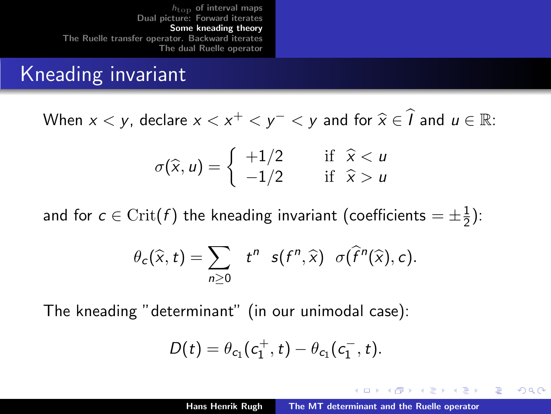### <span id="page-10-0"></span>Kneading invariant

When  $x < y$ , declare  $x < x^+ < y^- < y$  and for  $\widehat{x} \in \widehat{I}$  and  $u \in \mathbb{R}$ :

$$
\sigma(\widehat{x}, u) = \begin{cases} +1/2 & \text{if } \widehat{x} < u \\ -1/2 & \text{if } \widehat{x} > u \end{cases}
$$

and for  $c\in\mathrm{Crit}(f)$  the kneading invariant (coefficients  $=\pm\frac{1}{2}$  $(\frac{1}{2})$ :

$$
\theta_c(\widehat{x},t)=\sum_{n\geq 0} t^n \ s(f^n,\widehat{x}) \ \sigma(\widehat{f}^n(\widehat{x}),c).
$$

The kneading "determinant" (in our unimodal case):

$$
D(t) = \theta_{c_1}(c_1^+, t) - \theta_{c_1}(c_1^-, t).
$$

メロメ メタメ メモメ メモメ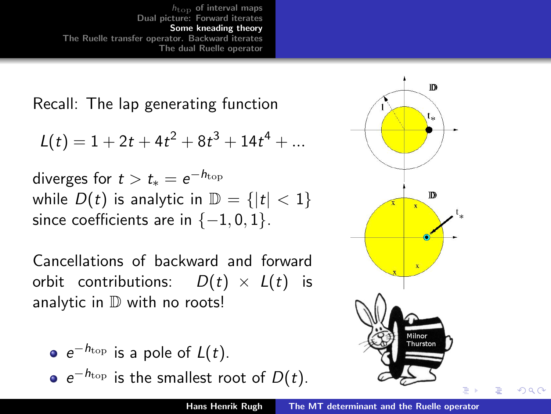Recall: The lap generating function

$$
L(t) = 1 + 2t + 4t^2 + 8t^3 + 14t^4 + \dots
$$

diverges for  $t > t_* = e^{-h_{\rm top}}$ while  $D(t)$  is analytic in  $\mathbb{D} = \{ |t| < 1 \}$ since coefficients are in  $\{-1, 0, 1\}$ .

Cancellations of backward and forward orbit contributions:  $D(t) \times L(t)$  is analytic in  $D$  with no roots!

$$
\bullet \ e^{-h_{\text{top}}} \text{ is a pole of } L(t).
$$

 $e^{-h_{\text{top}}}$  is the smallest root of  $D(t)$ .

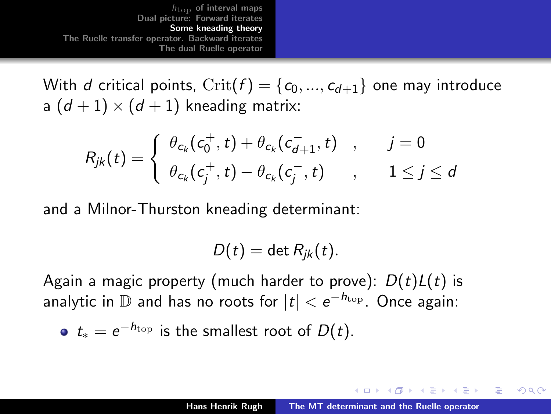With d critical points,  $\text{Crit}(f) = \{c_0, ..., c_{d+1}\}$  one may introduce a  $(d+1) \times (d+1)$  kneading matrix:

$$
R_{jk}(t) = \begin{cases} \theta_{c_k}(c_0^+, t) + \theta_{c_k}(c_{d+1}^-, t) & , & j = 0 \\ \theta_{c_k}(c_j^+, t) - \theta_{c_k}(c_j^-, t) & , & 1 \le j \le d \end{cases}
$$

and a Milnor-Thurston kneading determinant:

$$
D(t) = \det R_{jk}(t).
$$

Again a magic property (much harder to prove):  $D(t)L(t)$  is analytic in  ${\mathbb D}$  and has no roots for  $|t| < e^{-h_{\rm top}}$  . Once again:

• 
$$
t_* = e^{-h_{\text{top}}}
$$
 is the smallest root of  $D(t)$ .

メロメ メタメ メモメ メモメ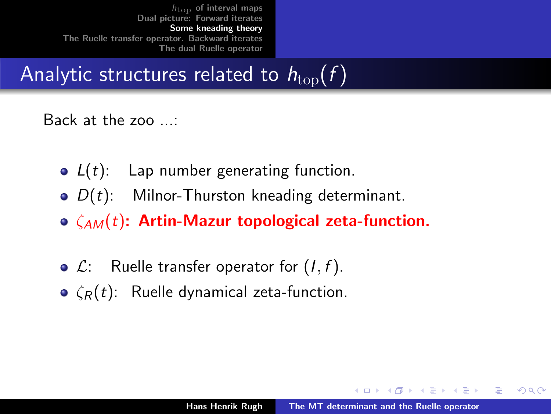# Analytic structures related to  $h_{\text{top}}(f)$

#### Back at the zoo ...:

- $L(t)$ : Lap number generating function.
- $\bullet$   $D(t)$ : Milnor-Thurston kneading determinant.
- $\circ$   $\zeta_{AM}(t)$ : Artin-Mazur topological zeta-function.
- $\bullet$   $\mathcal{L}$ : Ruelle transfer operator for  $(I, f)$ .
- $\epsilon(\mathbf{r}(t))$ : Ruelle dynamical zeta-function.

メロメ メタメ メモメ メモメ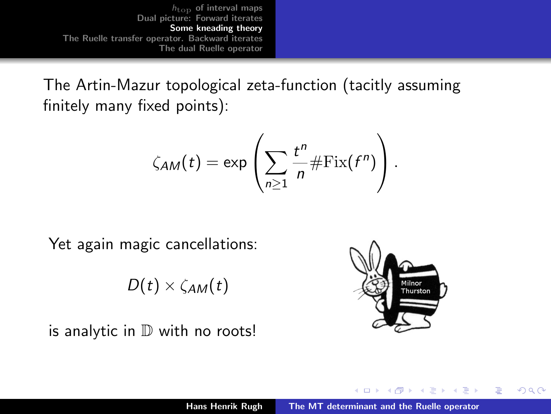The Artin-Mazur topological zeta-function (tacitly assuming finitely many fixed points):

$$
\zeta_{AM}(t) = \exp\left(\sum_{n\geq 1} \frac{t^n}{n} \#\text{Fix}(f^n)\right).
$$

Yet again magic cancellations:

 $D(t) \times \zeta_{AM}(t)$ 





 $\mathcal{A}$  and  $\mathcal{A}$  . The  $\mathcal{A}$ 

- 4 E 1

 $2Q$ 

 $\leftarrow$   $\Box$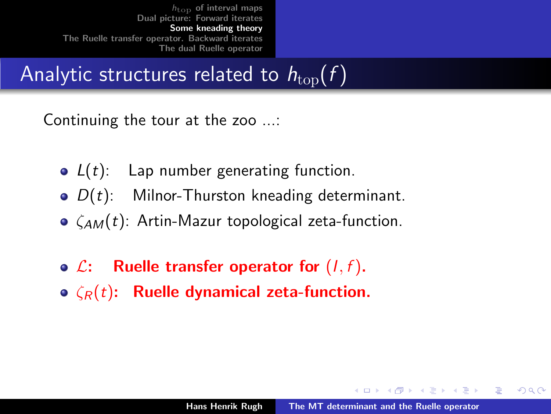# Analytic structures related to  $h_{\text{top}}(f)$

Continuing the tour at the zoo ...:

- $L(t)$ : Lap number generating function.
- $\bullet$   $D(t)$ : Milnor-Thurston kneading determinant.
- $\bullet$   $\zeta_{AM}(t)$ : Artin-Mazur topological zeta-function.
- $\bullet$   $\mathcal{L}$ : Ruelle transfer operator for  $(I, f)$ .
- $\bullet$   $\zeta_R(t)$ : Ruelle dynamical zeta-function.

メロメ メタメ メモメ メモメ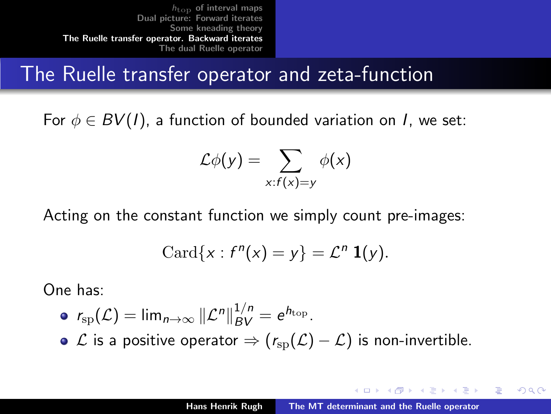### <span id="page-16-0"></span>The Ruelle transfer operator and zeta-function

For  $\phi \in BV(I)$ , a function of bounded variation on I, we set:

$$
\mathcal{L}\phi(y)=\sum_{x:f(x)=y}\phi(x)
$$

Acting on the constant function we simply count pre-images:

$$
\mathrm{Card}\{x: f^n(x)=y\}=\mathcal{L}^n\ \mathbf{1}(y).
$$

One has:

$$
\bullet \ \ r_{\rm sp}(\mathcal{L}) = \lim_{n \to \infty} \|\mathcal{L}^n\|_{BV}^{1/n} = e^{h_{\rm top}}.
$$

 $\bullet$   $\mathcal L$  is a positive operator  $\Rightarrow$  ( $r_{\text{SD}}(\mathcal L) - \mathcal L$ ) is non-invertible.

メロメ メタメ メモメ メモメ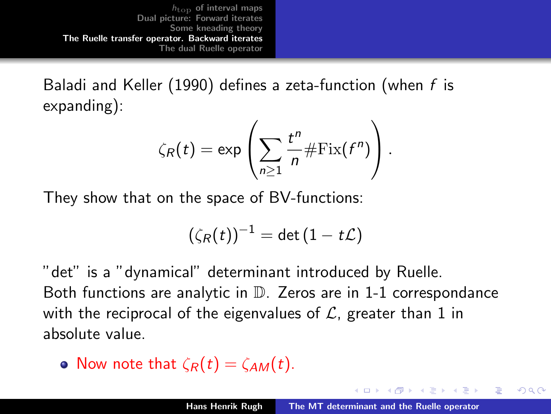Baladi and Keller (1990) defines a zeta-function (when f is expanding):

$$
\zeta_R(t) = \exp\left(\sum_{n\geq 1} \frac{t^n}{n} \# \mathrm{Fix}(f^n)\right).
$$

They show that on the space of BV-functions:

$$
(\zeta_R(t))^{-1}=\det(1-t\mathcal{L})
$$

"det" is a "dynamical" determinant introduced by Ruelle. Both functions are analytic in D. Zeros are in 1-1 correspondance with the reciprocal of the eigenvalues of  $\mathcal{L}$ , greater than 1 in absolute value.

• Now note that 
$$
\zeta_R(t) = \zeta_{AM}(t)
$$
.

マーター マートマート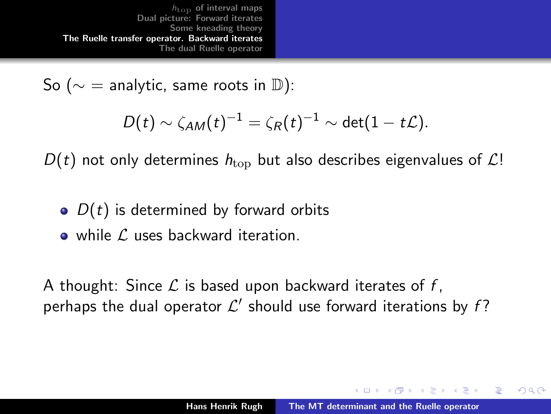<span id="page-18-0"></span>So ( $\sim$  = analytic, same roots in D):

$$
D(t) \sim \zeta_{AM}(t)^{-1} = \zeta_R(t)^{-1} \sim \det(1 - t\mathcal{L}).
$$

 $D(t)$  not only determines  $h_{\text{top}}$  but also describes eigenvalues of  $\mathcal{L}!$ 

- $\bullet$   $D(t)$  is determined by forward orbits
- $\bullet$  while  $\ell$  uses backward iteration.

A thought: Since  $\mathcal L$  is based upon backward iterates of f, perhaps the dual operator  $\mathcal{L}'$  should use forward iterations by f?

メロメ メタメ メモメ メモメ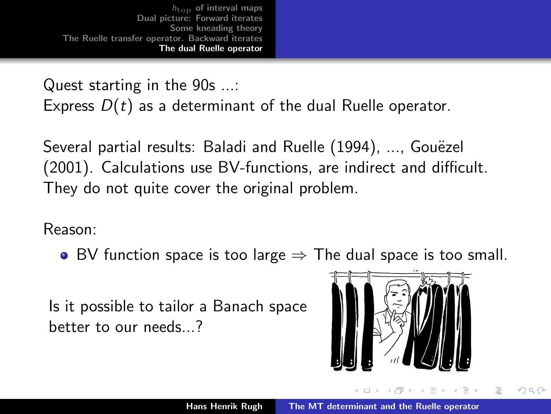<span id="page-19-0"></span>Quest starting in the 90s ...:

Express  $D(t)$  as a determinant of the dual Ruelle operator.

Several partial results: Baladi and Ruelle (1994), ..., Gouëzel (2001). Calculations use BV-functions, are indirect and difficult. They do not quite cover the original problem.

Reason:

• BV function space is too large  $\Rightarrow$  The dual space is too small.

Is it possible to tailor a Banach space better to our needs...?



**Administration**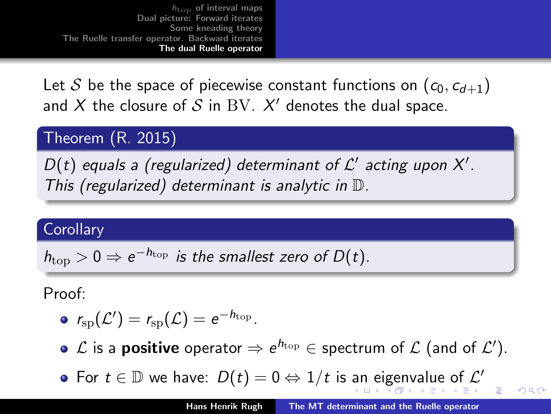<span id="page-20-0"></span>Let S be the space of piecewise constant functions on  $(c_0, c_{d+1})$ and  $X$  the closure of  $S$  in  $\mathrm{BV}$ .  $X'$  denotes the dual space.

Theorem (R. 2015)

 $D(t)$  equals a (regularized) determinant of  $\mathcal{L}'$  acting upon X'. This (regularized) determinant is analytic in D.

#### Corollary

$$
h_{\text{top}} > 0 \Rightarrow e^{-h_{\text{top}}}
$$
 is the smallest zero of  $D(t)$ .

Proof:

$$
\bullet \ \ r_{\rm sp}({\mathcal L}')=r_{\rm sp}({\mathcal L})=e^{-h_{\rm top}}.
$$

 $\mathcal L$  is a **positive** operator  $\Rightarrow$   $e^{h_{\rm top}}$   $\in$  spectrum of  $\mathcal L$  (and of  $\mathcal L' ).$ 

For  $t \in \mathbb{D}$  $t \in \mathbb{D}$  $t \in \mathbb{D}$  we ha[v](#page-21-0)[e](#page-30-0):  $D(t) = 0 \Leftrightarrow 1/t$  $D(t) = 0 \Leftrightarrow 1/t$  $D(t) = 0 \Leftrightarrow 1/t$  is [an](#page-19-0) [ei](#page-21-0)g[en](#page-20-0)va[l](#page-19-0)[u](#page-29-0)e [o](#page-18-0)[f](#page-19-0)  $\mathcal{L}'$  $\mathcal{L}'$  $\mathcal{L}'$ 

 $\Omega$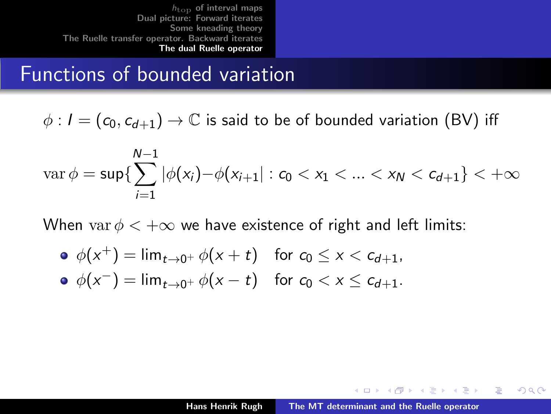#### <span id="page-21-0"></span>Functions of bounded variation

 $\phi$ :  $I = (c_0, c_{d+1}) \rightarrow \mathbb{C}$  is said to be of bounded variation (BV) iff

$$
\operatorname{var} \phi = \sup \{ \sum_{i=1}^{N-1} |\phi(x_i) - \phi(x_{i+1}| : c_0 < x_1 < \ldots < x_N < c_{d+1} \} < +\infty
$$

When var  $\phi < +\infty$  we have existence of right and left limits:

\n- \n
$$
\phi(x^+) = \lim_{t \to 0^+} \phi(x+t) \quad \text{for } c_0 \leq x < c_{d+1},
$$
\n
\n- \n
$$
\phi(x^-) = \lim_{t \to 0^+} \phi(x-t) \quad \text{for } c_0 < x \leq c_{d+1}.
$$
\n
\n

イロメ マ桐 メラミンマチャ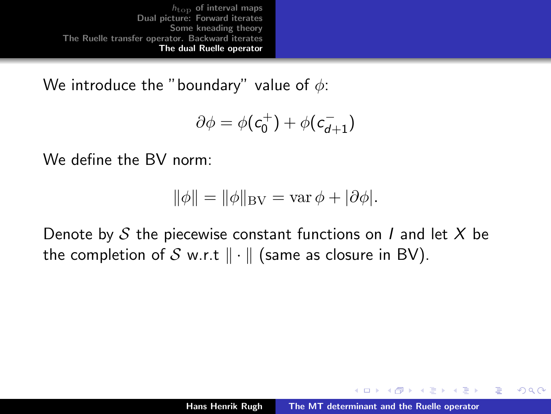We introduce the "boundary" value of  $\phi$ :

$$
\partial \phi = \phi(c_0^+) + \phi(c_{d+1}^-)
$$

We define the BV norm:

$$
\|\phi\| = \|\phi\|_{\mathrm{BV}} = \mathrm{var}\,\phi + |\partial\phi|.
$$

Denote by S the piecewise constant functions on I and let X be the completion of S w.r.t  $\|\cdot\|$  (same as closure in BV).

メロメ メタメ メモメ メモメ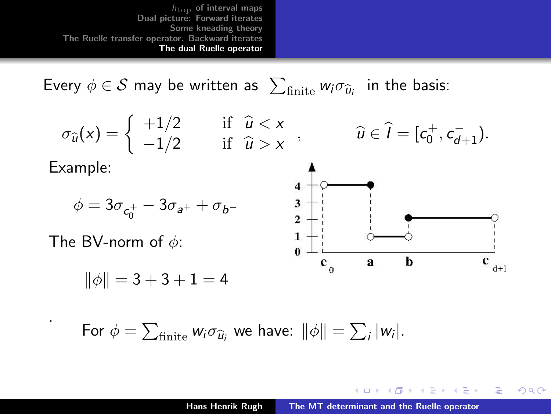Every  $\phi \in \mathcal{S}$  may be written as  $\sum_{\text{finite}} w_i \sigma_{\widehat{u}_i}$  in the basis:

$$
\sigma_{\widehat{u}}(x) = \begin{cases}\n+1/2 & \text{if } \widehat{u} < x \\
-1/2 & \text{if } \widehat{u} > x\n\end{cases}, \qquad \widehat{u} \in \widehat{I} = [c_0^+, c_{d+1}^-).
$$

 $\Delta$ 

Example:

.



The BV-norm of  $\phi$ :

$$
\|\phi\| = 3 + 3 + 1 = 4
$$

$$
\begin{array}{c}\n4 \\
3 \\
2 \\
1 \\
0\n\end{array}
$$

K ロ ⊁ K 倒 ≯ K ミ ⊁ K ミ ≯

 $\frac{1}{1}$  $\mathbf{c}$ 

 $2Q$ 

隱

For  $\phi = \sum_{\text{finite}} w_i \sigma_{\widehat{u}_i}$  we have:  $\|\phi\| = \sum_i |w_i|.$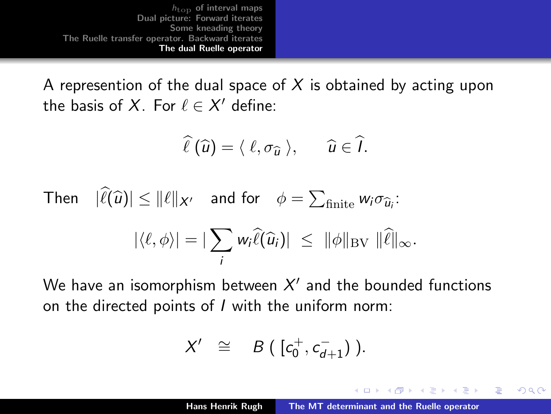<span id="page-24-0"></span>A represention of the dual space of  $X$  is obtained by acting upon the basis of X. For  $\ell \in X'$  define:

$$
\widehat{\ell}(\widehat{u})=\langle \ell,\sigma_{\widehat{u}} \rangle, \quad \widehat{u}\in \widehat{I}.
$$

Then 
$$
|\hat{\ell}(\hat{u})| \le ||\ell||_{X'}
$$
 and for  $\phi = \sum_{\text{finite}} w_i \sigma_{\hat{u}_i}$ :  
 $|\langle \ell, \phi \rangle| = |\sum_i w_i \hat{\ell}(\hat{u}_i)| \le ||\phi||_{BV} ||\hat{\ell}||_{\infty}$ .

We have an isomorphism between  $X'$  and the bounded functions on the directed points of I with the uniform norm:

$$
X' \cong B([c_0^+, c_{d+1}^-)).
$$

メロメ メタメ メモメ メモメ

 $\Omega$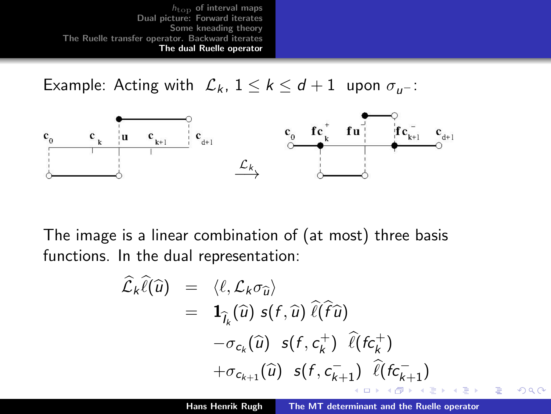<span id="page-25-0"></span>Example: Acting with  $\mathcal{L}_k$ ,  $1 \leq k \leq d+1$  upon  $\sigma_{u-}$ :



The image is a linear combination of (at most) three basis functions. In the dual representation:

$$
\hat{\mathcal{L}}_k \hat{\ell}(\hat{u}) = \langle \ell, \mathcal{L}_k \sigma_{\hat{u}} \rangle \n= \mathbf{1}_{\hat{I}_k}(\hat{u}) s(f, \hat{u}) \hat{\ell}(\hat{f}\hat{u}) \n- \sigma_{c_k}(\hat{u}) s(f, c_k^+) \hat{\ell}(f c_k^+) \n+ \sigma_{c_{k+1}}(\hat{u}) s(f, c_{k+1}^-) \hat{\ell}(f c_{k+1}^-)
$$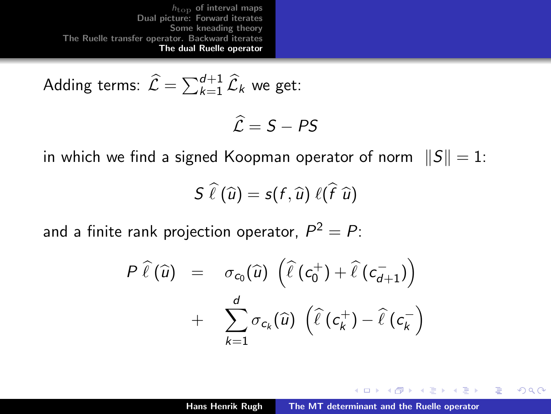<span id="page-26-0"></span>Adding terms: 
$$
\widehat{\mathcal{L}} = \sum_{k=1}^{d+1} \widehat{\mathcal{L}}_k
$$
 we get:

$$
\widehat{\mathcal{L}}=S-PS
$$

in which we find a signed Koopman operator of norm  $||S|| = 1$ :

$$
\mathcal{S}\,\,\widehat{\ell}\left(\widehat{u}\right)=\mathcal{S}\left(\mathit{f},\widehat{u}\right)\,\ell\big(\widehat{\mathit{f}}\,\,\widehat{u}\big)
$$

and a finite rank projection operator,  $P^2=P\colon$ 

$$
P\ \hat{\ell}\left(\widehat{u}\right) = \sigma_{c_0}(\widehat{u})\ \left(\widehat{\ell}\left(c_0^+\right) + \widehat{\ell}\left(c_{d+1}^-\right)\right) \\ + \ \sum_{k=1}^d \sigma_{c_k}(\widehat{u})\ \left(\widehat{\ell}\left(c_k^+\right) - \widehat{\ell}\left(c_k^-\right)\right)
$$

K ロ ⊁ K 倒 ≯ K ミ ⊁ K ミ ≯

 $2Q$ 

后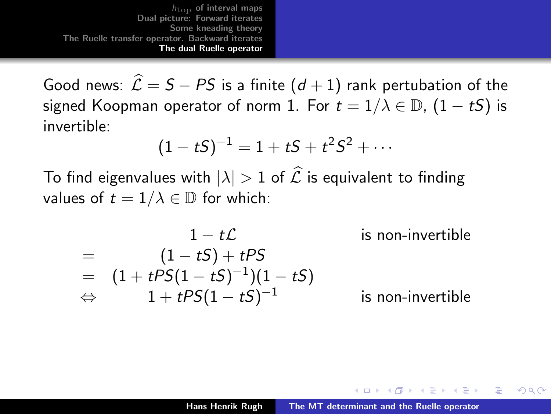Good news:  $\hat{\mathcal{L}} = S - PS$  is a finite  $(d + 1)$  rank pertubation of the signed Koopman operator of norm 1. For  $t = 1/\lambda \in \mathbb{D}$ ,  $(1 - tS)$  is invertible:

$$
(1-tS)^{-1} = 1 + tS + t^2S^2 + \cdots
$$

To find eigenvalues with  $|\lambda| > 1$  of  $\widehat{\mathcal{L}}$  is equivalent to finding values of  $t = 1/\lambda \in \mathbb{D}$  for which:

$$
1 - t\mathcal{L}
$$
 is non-invertible  
=  $(1-tS) + tPS$   
=  $(1 + tPS(1-tS)^{-1})(1-tS)$   
⇒  $1 + tPS(1-tS)^{-1}$  is non-invertible

マーター マートマート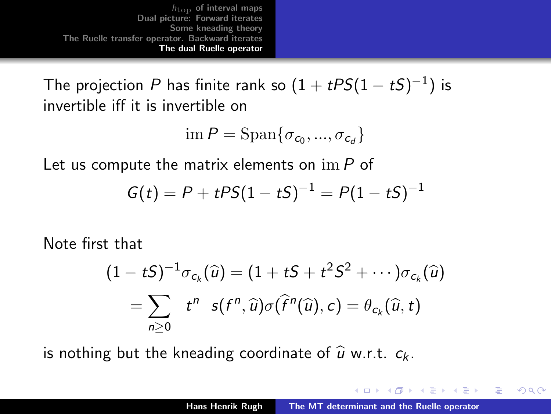The projection  $P$  has finite rank so  $(1+t\textit{PS}(1-t\textit{S})^{-1})$  is invertible iff it is invertible on

$$
\operatorname{im} P = \operatorname{Span} \{ \sigma_{c_0},...,\sigma_{c_d} \}
$$

Let us compute the matrix elements on  $\operatorname{im} P$  of

$$
G(t) = P + tPS(1 - tS)^{-1} = P(1 - tS)^{-1}
$$

Note first that

$$
(1-tS)^{-1}\sigma_{c_k}(\widehat{u})=(1+tS+t^2S^2+\cdots)\sigma_{c_k}(\widehat{u})\\=\sum_{n\geq 0}t^n\ \ s(f^n,\widehat{u})\sigma(\widehat{f}^n(\widehat{u}),c)=\theta_{c_k}(\widehat{u},t)
$$

is nothing but the kneading coordinate of  $\hat{u}$  w.r.t.  $c_k$ .

メロメ メタメ メモメ メモメ

つくい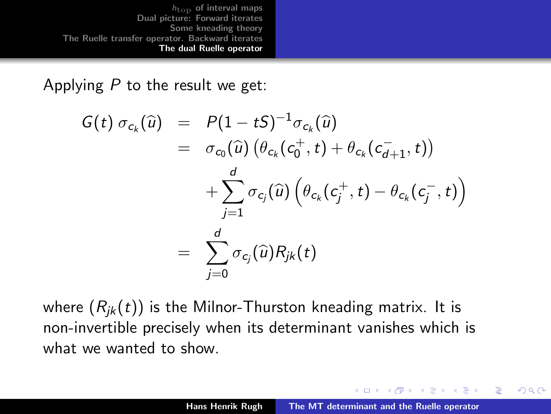<span id="page-29-0"></span>Applying  $P$  to the result we get:

$$
G(t) \sigma_{c_k}(\widehat{u}) = P(1 - tS)^{-1} \sigma_{c_k}(\widehat{u})
$$
  
\n
$$
= \sigma_{c_0}(\widehat{u}) \left( \theta_{c_k}(c_0^+, t) + \theta_{c_k}(c_{d+1}^-, t) \right)
$$
  
\n
$$
+ \sum_{j=1}^d \sigma_{c_j}(\widehat{u}) \left( \theta_{c_k}(c_j^+, t) - \theta_{c_k}(c_j^-, t) \right)
$$
  
\n
$$
= \sum_{j=0}^d \sigma_{c_j}(\widehat{u}) R_{jk}(t)
$$

where  $(R_{ik}(t))$  is the Milnor-Thurston kneading matrix. It is non-invertible precisely when its determinant vanishes which is what we wanted to show.

イロメ マ桐 メラミンマチャ

つくい